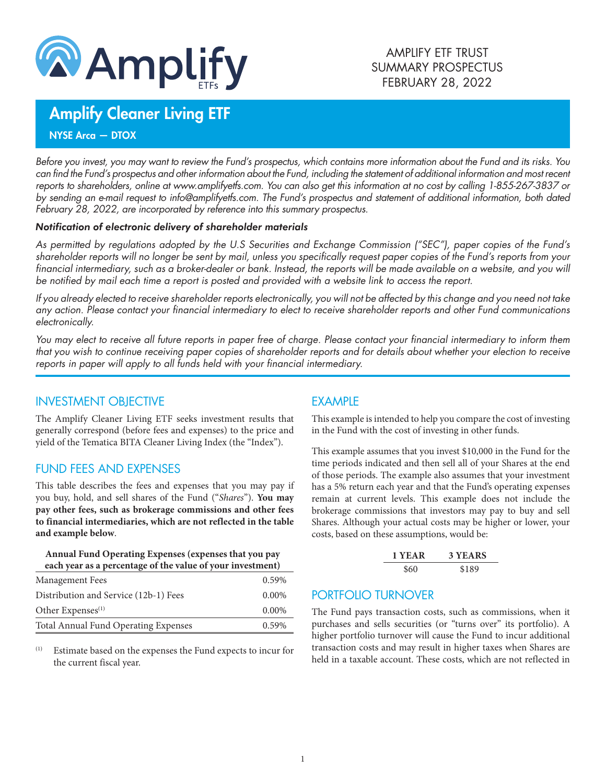

# Amplify Cleaner Living ETF

NYSE Arca — DTOX

*Before you invest, you may want to review the Fund's prospectus, which contains more information about the Fund and its risks. You can find the Fund's prospectus and other information about the Fund, including the statement of additional information and most recent reports to shareholders, online at www.amplifyetfs.com. You can also get this information at no cost by calling 1-855-267-3837 or by sending an e-mail request to info@amplifyetfs.com. The Fund's prospectus and statement of additional information, both dated February 28, 2022, are incorporated by reference into this summary prospectus.*

#### *Notification of electronic delivery of shareholder materials*

*As permitted by regulations adopted by the U.S Securities and Exchange Commission ("SEC"), paper copies of the Fund's shareholder reports will no longer be sent by mail, unless you specifically request paper copies of the Fund's reports from your financial intermediary, such as a broker-dealer or bank. Instead, the reports will be made available on a website, and you will be notified by mail each time a report is posted and provided with a website link to access the report.*

*If you already elected to receive shareholder reports electronically, you will not be affected by this change and you need not take any action. Please contact your financial intermediary to elect to receive shareholder reports and other Fund communications electronically.*

*You may elect to receive all future reports in paper free of charge. Please contact your financial intermediary to inform them that you wish to continue receiving paper copies of shareholder reports and for details about whether your election to receive reports in paper will apply to all funds held with your financial intermediary.*

#### INVESTMENT OBJECTIVE

The Amplify Cleaner Living ETF seeks investment results that generally correspond (before fees and expenses) to the price and yield of the Tematica BITA Cleaner Living Index (the "Index").

# FUND FEES AND EXPENSES

This table describes the fees and expenses that you may pay if you buy, hold, and sell shares of the Fund ("*Shares*"). **You may pay other fees, such as brokerage commissions and other fees to financial intermediaries, which are not reflected in the table and example below**.

#### **Annual Fund Operating Expenses (expenses that you pay each year as a percentage of the value of your investment)**

| Management Fees                             | 0.59%    |
|---------------------------------------------|----------|
| Distribution and Service (12b-1) Fees       | $0.00\%$ |
| Other Expenses <sup>(1)</sup>               | $0.00\%$ |
| <b>Total Annual Fund Operating Expenses</b> | 0.59%    |

(1) Estimate based on the expenses the Fund expects to incur for the current fiscal year.

# EXAMPLE

This example is intended to help you compare the cost of investing in the Fund with the cost of investing in other funds.

This example assumes that you invest \$10,000 in the Fund for the time periods indicated and then sell all of your Shares at the end of those periods. The example also assumes that your investment has a 5% return each year and that the Fund's operating expenses remain at current levels. This example does not include the brokerage commissions that investors may pay to buy and sell Shares. Although your actual costs may be higher or lower, your costs, based on these assumptions, would be:

| 1 YEAR | 3 YEARS |
|--------|---------|
| \$60   | \$189   |

# PORTFOLIO TURNOVER

The Fund pays transaction costs, such as commissions, when it purchases and sells securities (or "turns over" its portfolio). A higher portfolio turnover will cause the Fund to incur additional transaction costs and may result in higher taxes when Shares are held in a taxable account. These costs, which are not reflected in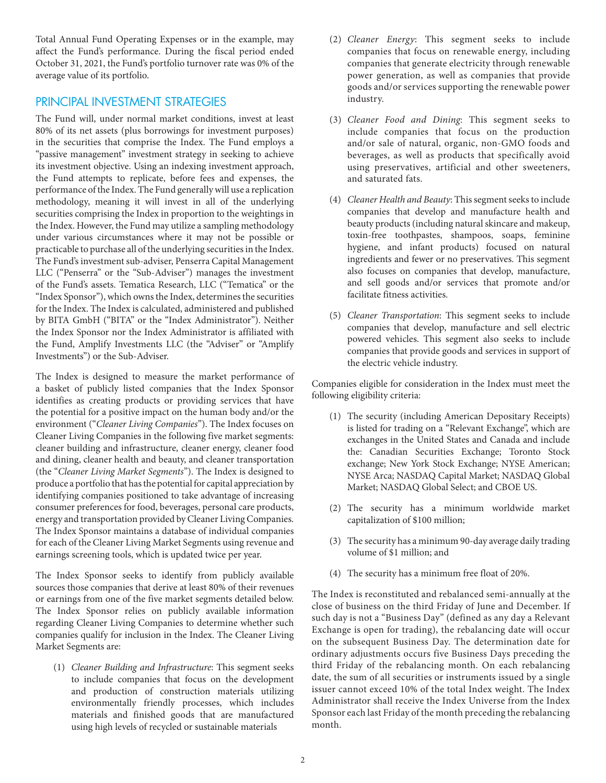Total Annual Fund Operating Expenses or in the example, may affect the Fund's performance. During the fiscal period ended October 31, 2021, the Fund's portfolio turnover rate was 0% of the average value of its portfolio.

## PRINCIPAL INVESTMENT STRATEGIES

The Fund will, under normal market conditions, invest at least 80% of its net assets (plus borrowings for investment purposes) in the securities that comprise the Index. The Fund employs a "passive management" investment strategy in seeking to achieve its investment objective. Using an indexing investment approach, the Fund attempts to replicate, before fees and expenses, the performance of the Index. The Fund generally will use a replication methodology, meaning it will invest in all of the underlying securities comprising the Index in proportion to the weightings in the Index. However, the Fund may utilize a sampling methodology under various circumstances where it may not be possible or practicable to purchase all of the underlying securities in the Index. The Fund's investment sub-adviser, Penserra Capital Management LLC ("Penserra" or the "Sub-Adviser") manages the investment of the Fund's assets. Tematica Research, LLC ("Tematica" or the "Index Sponsor"), which owns the Index, determines the securities for the Index. The Index is calculated, administered and published by BITA GmbH ("BITA" or the "Index Administrator"). Neither the Index Sponsor nor the Index Administrator is affiliated with the Fund, Amplify Investments LLC (the "Adviser" or "Amplify Investments") or the Sub-Adviser.

The Index is designed to measure the market performance of a basket of publicly listed companies that the Index Sponsor identifies as creating products or providing services that have the potential for a positive impact on the human body and/or the environment ("*Cleaner Living Companies*"). The Index focuses on Cleaner Living Companies in the following five market segments: cleaner building and infrastructure, cleaner energy, cleaner food and dining, cleaner health and beauty, and cleaner transportation (the "*Cleaner Living Market Segments*"). The Index is designed to produce a portfolio that has the potential for capital appreciation by identifying companies positioned to take advantage of increasing consumer preferences for food, beverages, personal care products, energy and transportation provided by Cleaner Living Companies. The Index Sponsor maintains a database of individual companies for each of the Cleaner Living Market Segments using revenue and earnings screening tools, which is updated twice per year.

The Index Sponsor seeks to identify from publicly available sources those companies that derive at least 80% of their revenues or earnings from one of the five market segments detailed below. The Index Sponsor relies on publicly available information regarding Cleaner Living Companies to determine whether such companies qualify for inclusion in the Index. The Cleaner Living Market Segments are:

(1) *Cleaner Building and Infrastructure*: This segment seeks to include companies that focus on the development and production of construction materials utilizing environmentally friendly processes, which includes materials and finished goods that are manufactured using high levels of recycled or sustainable materials

- (2) *Cleaner Energy*: This segment seeks to include companies that focus on renewable energy, including companies that generate electricity through renewable power generation, as well as companies that provide goods and/or services supporting the renewable power industry.
- (3) *Cleaner Food and Dining*: This segment seeks to include companies that focus on the production and/or sale of natural, organic, non-GMO foods and beverages, as well as products that specifically avoid using preservatives, artificial and other sweeteners, and saturated fats.
- (4) *Cleaner Health and Beauty*: This segment seeks to include companies that develop and manufacture health and beauty products (including natural skincare and makeup, toxin-free toothpastes, shampoos, soaps, feminine hygiene, and infant products) focused on natural ingredients and fewer or no preservatives. This segment also focuses on companies that develop, manufacture, and sell goods and/or services that promote and/or facilitate fitness activities.
- (5) *Cleaner Transportation*: This segment seeks to include companies that develop, manufacture and sell electric powered vehicles. This segment also seeks to include companies that provide goods and services in support of the electric vehicle industry.

Companies eligible for consideration in the Index must meet the following eligibility criteria:

- (1) The security (including American Depositary Receipts) is listed for trading on a "Relevant Exchange", which are exchanges in the United States and Canada and include the: Canadian Securities Exchange; Toronto Stock exchange; New York Stock Exchange; NYSE American; NYSE Arca; NASDAQ Capital Market; NASDAQ Global Market; NASDAQ Global Select; and CBOE US.
- (2) The security has a minimum worldwide market capitalization of \$100 million;
- (3) The security has a minimum 90-day average daily trading volume of \$1 million; and
- (4) The security has a minimum free float of 20%.

The Index is reconstituted and rebalanced semi-annually at the close of business on the third Friday of June and December. If such day is not a "Business Day" (defined as any day a Relevant Exchange is open for trading), the rebalancing date will occur on the subsequent Business Day. The determination date for ordinary adjustments occurs five Business Days preceding the third Friday of the rebalancing month. On each rebalancing date, the sum of all securities or instruments issued by a single issuer cannot exceed 10% of the total Index weight. The Index Administrator shall receive the Index Universe from the Index Sponsor each last Friday of the month preceding the rebalancing month.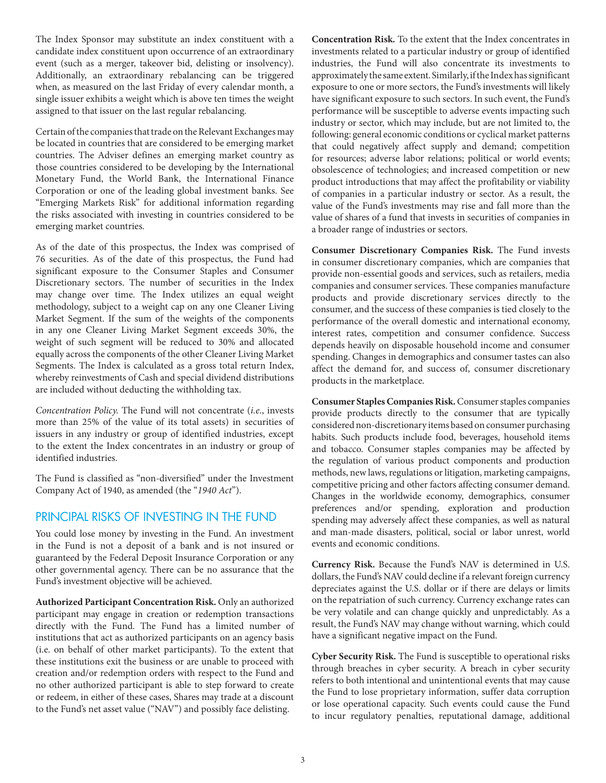The Index Sponsor may substitute an index constituent with a candidate index constituent upon occurrence of an extraordinary event (such as a merger, takeover bid, delisting or insolvency). Additionally, an extraordinary rebalancing can be triggered when, as measured on the last Friday of every calendar month, a single issuer exhibits a weight which is above ten times the weight assigned to that issuer on the last regular rebalancing.

Certain of the companies that trade on the Relevant Exchanges may be located in countries that are considered to be emerging market countries. The Adviser defines an emerging market country as those countries considered to be developing by the International Monetary Fund, the World Bank, the International Finance Corporation or one of the leading global investment banks. See "Emerging Markets Risk" for additional information regarding the risks associated with investing in countries considered to be emerging market countries.

As of the date of this prospectus, the Index was comprised of 76 securities. As of the date of this prospectus, the Fund had significant exposure to the Consumer Staples and Consumer Discretionary sectors. The number of securities in the Index may change over time. The Index utilizes an equal weight methodology, subject to a weight cap on any one Cleaner Living Market Segment. If the sum of the weights of the components in any one Cleaner Living Market Segment exceeds 30%, the weight of such segment will be reduced to 30% and allocated equally across the components of the other Cleaner Living Market Segments. The Index is calculated as a gross total return Index, whereby reinvestments of Cash and special dividend distributions are included without deducting the withholding tax.

*Concentration Policy.* The Fund will not concentrate (*i.e*., invests more than 25% of the value of its total assets) in securities of issuers in any industry or group of identified industries, except to the extent the Index concentrates in an industry or group of identified industries.

The Fund is classified as "non-diversified" under the Investment Company Act of 1940, as amended (the "*1940 Act*").

## PRINCIPAL RISKS OF INVESTING IN THE FUND

You could lose money by investing in the Fund. An investment in the Fund is not a deposit of a bank and is not insured or guaranteed by the Federal Deposit Insurance Corporation or any other governmental agency. There can be no assurance that the Fund's investment objective will be achieved.

**Authorized Participant Concentration Risk.** Only an authorized participant may engage in creation or redemption transactions directly with the Fund. The Fund has a limited number of institutions that act as authorized participants on an agency basis (i.e. on behalf of other market participants). To the extent that these institutions exit the business or are unable to proceed with creation and/or redemption orders with respect to the Fund and no other authorized participant is able to step forward to create or redeem, in either of these cases, Shares may trade at a discount to the Fund's net asset value ("NAV") and possibly face delisting.

**Concentration Risk.** To the extent that the Index concentrates in investments related to a particular industry or group of identified industries, the Fund will also concentrate its investments to approximately the same extent. Similarly, if the Index has significant exposure to one or more sectors, the Fund's investments will likely have significant exposure to such sectors. In such event, the Fund's performance will be susceptible to adverse events impacting such industry or sector, which may include, but are not limited to, the following: general economic conditions or cyclical market patterns that could negatively affect supply and demand; competition for resources; adverse labor relations; political or world events; obsolescence of technologies; and increased competition or new product introductions that may affect the profitability or viability of companies in a particular industry or sector. As a result, the value of the Fund's investments may rise and fall more than the value of shares of a fund that invests in securities of companies in a broader range of industries or sectors.

**Consumer Discretionary Companies Risk.** The Fund invests in consumer discretionary companies, which are companies that provide non-essential goods and services, such as retailers, media companies and consumer services. These companies manufacture products and provide discretionary services directly to the consumer, and the success of these companies is tied closely to the performance of the overall domestic and international economy, interest rates, competition and consumer confidence. Success depends heavily on disposable household income and consumer spending. Changes in demographics and consumer tastes can also affect the demand for, and success of, consumer discretionary products in the marketplace.

**Consumer Staples Companies Risk.** Consumer staples companies provide products directly to the consumer that are typically considered non-discretionary items based on consumer purchasing habits. Such products include food, beverages, household items and tobacco. Consumer staples companies may be affected by the regulation of various product components and production methods, new laws, regulations or litigation, marketing campaigns, competitive pricing and other factors affecting consumer demand. Changes in the worldwide economy, demographics, consumer preferences and/or spending, exploration and production spending may adversely affect these companies, as well as natural and man-made disasters, political, social or labor unrest, world events and economic conditions.

**Currency Risk.** Because the Fund's NAV is determined in U.S. dollars, the Fund's NAV could decline if a relevant foreign currency depreciates against the U.S. dollar or if there are delays or limits on the repatriation of such currency. Currency exchange rates can be very volatile and can change quickly and unpredictably. As a result, the Fund's NAV may change without warning, which could have a significant negative impact on the Fund.

**Cyber Security Risk.** The Fund is susceptible to operational risks through breaches in cyber security. A breach in cyber security refers to both intentional and unintentional events that may cause the Fund to lose proprietary information, suffer data corruption or lose operational capacity. Such events could cause the Fund to incur regulatory penalties, reputational damage, additional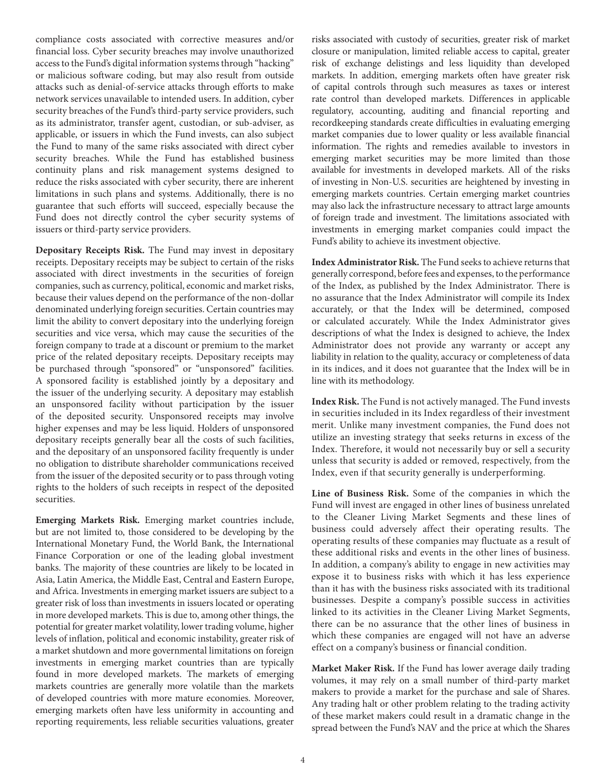compliance costs associated with corrective measures and/or financial loss. Cyber security breaches may involve unauthorized access to the Fund's digital information systems through "hacking" or malicious software coding, but may also result from outside attacks such as denial-of-service attacks through efforts to make network services unavailable to intended users. In addition, cyber security breaches of the Fund's third-party service providers, such as its administrator, transfer agent, custodian, or sub-adviser, as applicable, or issuers in which the Fund invests, can also subject the Fund to many of the same risks associated with direct cyber security breaches. While the Fund has established business continuity plans and risk management systems designed to reduce the risks associated with cyber security, there are inherent limitations in such plans and systems. Additionally, there is no guarantee that such efforts will succeed, especially because the Fund does not directly control the cyber security systems of issuers or third-party service providers.

**Depositary Receipts Risk.** The Fund may invest in depositary receipts. Depositary receipts may be subject to certain of the risks associated with direct investments in the securities of foreign companies, such as currency, political, economic and market risks, because their values depend on the performance of the non-dollar denominated underlying foreign securities. Certain countries may limit the ability to convert depositary into the underlying foreign securities and vice versa, which may cause the securities of the foreign company to trade at a discount or premium to the market price of the related depositary receipts. Depositary receipts may be purchased through "sponsored" or "unsponsored" facilities. A sponsored facility is established jointly by a depositary and the issuer of the underlying security. A depositary may establish an unsponsored facility without participation by the issuer of the deposited security. Unsponsored receipts may involve higher expenses and may be less liquid. Holders of unsponsored depositary receipts generally bear all the costs of such facilities, and the depositary of an unsponsored facility frequently is under no obligation to distribute shareholder communications received from the issuer of the deposited security or to pass through voting rights to the holders of such receipts in respect of the deposited securities.

**Emerging Markets Risk.** Emerging market countries include, but are not limited to, those considered to be developing by the International Monetary Fund, the World Bank, the International Finance Corporation or one of the leading global investment banks. The majority of these countries are likely to be located in Asia, Latin America, the Middle East, Central and Eastern Europe, and Africa. Investments in emerging market issuers are subject to a greater risk of loss than investments in issuers located or operating in more developed markets. This is due to, among other things, the potential for greater market volatility, lower trading volume, higher levels of inflation, political and economic instability, greater risk of a market shutdown and more governmental limitations on foreign investments in emerging market countries than are typically found in more developed markets. The markets of emerging markets countries are generally more volatile than the markets of developed countries with more mature economies. Moreover, emerging markets often have less uniformity in accounting and reporting requirements, less reliable securities valuations, greater

risks associated with custody of securities, greater risk of market closure or manipulation, limited reliable access to capital, greater risk of exchange delistings and less liquidity than developed markets. In addition, emerging markets often have greater risk of capital controls through such measures as taxes or interest rate control than developed markets. Differences in applicable regulatory, accounting, auditing and financial reporting and recordkeeping standards create difficulties in evaluating emerging market companies due to lower quality or less available financial information. The rights and remedies available to investors in emerging market securities may be more limited than those available for investments in developed markets. All of the risks of investing in Non-U.S. securities are heightened by investing in emerging markets countries. Certain emerging market countries may also lack the infrastructure necessary to attract large amounts of foreign trade and investment. The limitations associated with investments in emerging market companies could impact the Fund's ability to achieve its investment objective.

**Index Administrator Risk.** The Fund seeks to achieve returns that generally correspond, before fees and expenses, to the performance of the Index, as published by the Index Administrator. There is no assurance that the Index Administrator will compile its Index accurately, or that the Index will be determined, composed or calculated accurately. While the Index Administrator gives descriptions of what the Index is designed to achieve, the Index Administrator does not provide any warranty or accept any liability in relation to the quality, accuracy or completeness of data in its indices, and it does not guarantee that the Index will be in line with its methodology.

**Index Risk.** The Fund is not actively managed. The Fund invests in securities included in its Index regardless of their investment merit. Unlike many investment companies, the Fund does not utilize an investing strategy that seeks returns in excess of the Index. Therefore, it would not necessarily buy or sell a security unless that security is added or removed, respectively, from the Index, even if that security generally is underperforming.

**Line of Business Risk.** Some of the companies in which the Fund will invest are engaged in other lines of business unrelated to the Cleaner Living Market Segments and these lines of business could adversely affect their operating results. The operating results of these companies may fluctuate as a result of these additional risks and events in the other lines of business. In addition, a company's ability to engage in new activities may expose it to business risks with which it has less experience than it has with the business risks associated with its traditional businesses. Despite a company's possible success in activities linked to its activities in the Cleaner Living Market Segments, there can be no assurance that the other lines of business in which these companies are engaged will not have an adverse effect on a company's business or financial condition.

**Market Maker Risk.** If the Fund has lower average daily trading volumes, it may rely on a small number of third-party market makers to provide a market for the purchase and sale of Shares. Any trading halt or other problem relating to the trading activity of these market makers could result in a dramatic change in the spread between the Fund's NAV and the price at which the Shares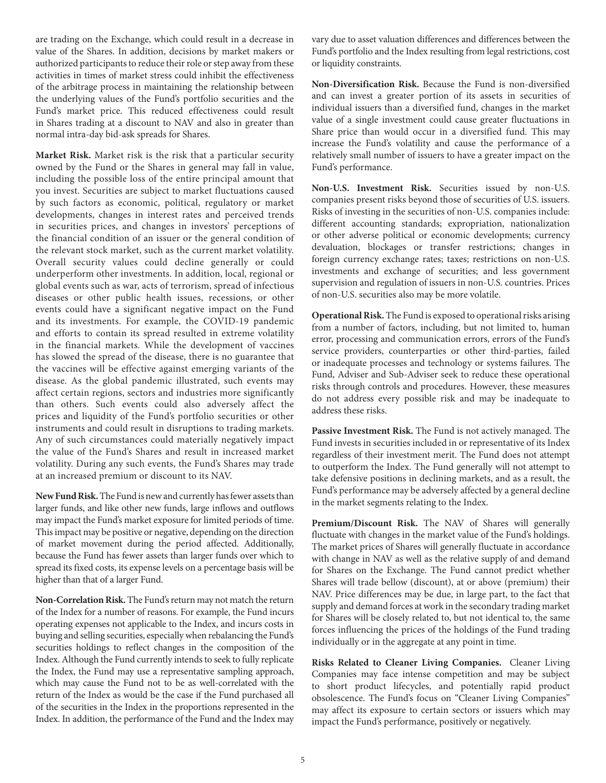are trading on the Exchange, which could result in a decrease in value of the Shares. In addition, decisions by market makers or authorized participants to reduce their role or step away from these activities in times of market stress could inhibit the effectiveness of the arbitrage process in maintaining the relationship between the underlying values of the Fund's portfolio securities and the Fund's market price. This reduced effectiveness could result in Shares trading at a discount to NAV and also in greater than normal intra-day bid-ask spreads for Shares.

**Market Risk.** Market risk is the risk that a particular security owned by the Fund or the Shares in general may fall in value, including the possible loss of the entire principal amount that you invest. Securities are subject to market fluctuations caused by such factors as economic, political, regulatory or market developments, changes in interest rates and perceived trends in securities prices, and changes in investors' perceptions of the financial condition of an issuer or the general condition of the relevant stock market, such as the current market volatility. Overall security values could decline generally or could underperform other investments. In addition, local, regional or global events such as war, acts of terrorism, spread of infectious diseases or other public health issues, recessions, or other events could have a significant negative impact on the Fund and its investments. For example, the COVID-19 pandemic and efforts to contain its spread resulted in extreme volatility in the financial markets. While the development of vaccines has slowed the spread of the disease, there is no guarantee that the vaccines will be effective against emerging variants of the disease. As the global pandemic illustrated, such events may affect certain regions, sectors and industries more significantly than others. Such events could also adversely affect the prices and liquidity of the Fund's portfolio securities or other instruments and could result in disruptions to trading markets. Any of such circumstances could materially negatively impact the value of the Fund's Shares and result in increased market volatility. During any such events, the Fund's Shares may trade at an increased premium or discount to its NAV.

**New Fund Risk.** The Fund is new and currently has fewer assets than larger funds, and like other new funds, large inflows and outflows may impact the Fund's market exposure for limited periods of time. This impact may be positive or negative, depending on the direction of market movement during the period affected. Additionally, because the Fund has fewer assets than larger funds over which to spread its fixed costs, its expense levels on a percentage basis will be higher than that of a larger Fund.

**Non-Correlation Risk.** The Fund's return may not match the return of the Index for a number of reasons. For example, the Fund incurs operating expenses not applicable to the Index, and incurs costs in buying and selling securities, especially when rebalancing the Fund's securities holdings to reflect changes in the composition of the Index. Although the Fund currently intends to seek to fully replicate the Index, the Fund may use a representative sampling approach, which may cause the Fund not to be as well-correlated with the return of the Index as would be the case if the Fund purchased all of the securities in the Index in the proportions represented in the Index. In addition, the performance of the Fund and the Index may vary due to asset valuation differences and differences between the Fund's portfolio and the Index resulting from legal restrictions, cost or liquidity constraints.

**Non-Diversification Risk.** Because the Fund is non-diversified and can invest a greater portion of its assets in securities of individual issuers than a diversified fund, changes in the market value of a single investment could cause greater fluctuations in Share price than would occur in a diversified fund. This may increase the Fund's volatility and cause the performance of a relatively small number of issuers to have a greater impact on the Fund's performance.

**Non-U.S. Investment Risk.** Securities issued by non-U.S. companies present risks beyond those of securities of U.S. issuers. Risks of investing in the securities of non-U.S. companies include: different accounting standards; expropriation, nationalization or other adverse political or economic developments; currency devaluation, blockages or transfer restrictions; changes in foreign currency exchange rates; taxes; restrictions on non-U.S. investments and exchange of securities; and less government supervision and regulation of issuers in non-U.S. countries. Prices of non-U.S. securities also may be more volatile.

**Operational Risk.** The Fund is exposed to operational risks arising from a number of factors, including, but not limited to, human error, processing and communication errors, errors of the Fund's service providers, counterparties or other third-parties, failed or inadequate processes and technology or systems failures. The Fund, Adviser and Sub-Adviser seek to reduce these operational risks through controls and procedures. However, these measures do not address every possible risk and may be inadequate to address these risks.

**Passive Investment Risk.** The Fund is not actively managed. The Fund invests in securities included in or representative of its Index regardless of their investment merit. The Fund does not attempt to outperform the Index. The Fund generally will not attempt to take defensive positions in declining markets, and as a result, the Fund's performance may be adversely affected by a general decline in the market segments relating to the Index.

**Premium/Discount Risk.** The NAV of Shares will generally fluctuate with changes in the market value of the Fund's holdings. The market prices of Shares will generally fluctuate in accordance with change in NAV as well as the relative supply of and demand for Shares on the Exchange. The Fund cannot predict whether Shares will trade bellow (discount), at or above (premium) their NAV. Price differences may be due, in large part, to the fact that supply and demand forces at work in the secondary trading market for Shares will be closely related to, but not identical to, the same forces influencing the prices of the holdings of the Fund trading individually or in the aggregate at any point in time.

**Risks Related to Cleaner Living Companies.** Cleaner Living Companies may face intense competition and may be subject to short product lifecycles, and potentially rapid product obsolescence. The Fund's focus on "Cleaner Living Companies" may affect its exposure to certain sectors or issuers which may impact the Fund's performance, positively or negatively.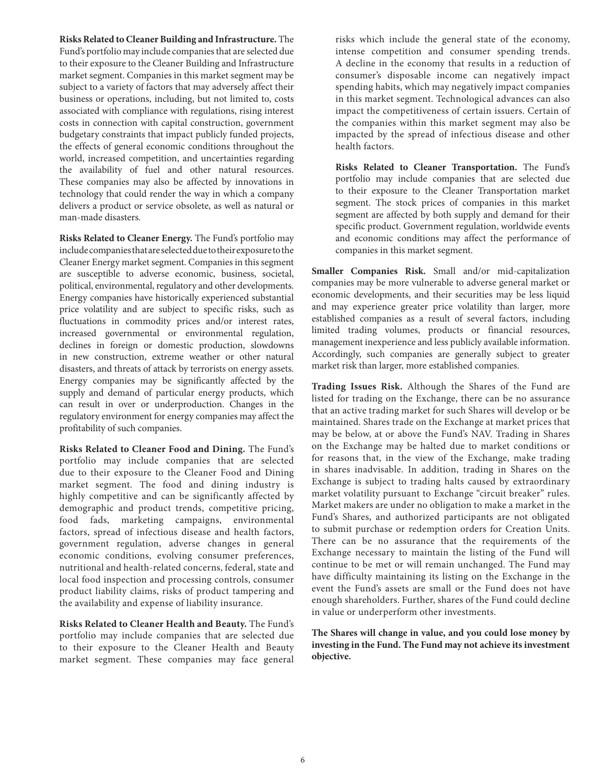**Risks Related to Cleaner Building and Infrastructure.** The Fund's portfolio may include companies that are selected due to their exposure to the Cleaner Building and Infrastructure market segment. Companies in this market segment may be subject to a variety of factors that may adversely affect their business or operations, including, but not limited to, costs associated with compliance with regulations, rising interest costs in connection with capital construction, government budgetary constraints that impact publicly funded projects, the effects of general economic conditions throughout the world, increased competition, and uncertainties regarding the availability of fuel and other natural resources. These companies may also be affected by innovations in technology that could render the way in which a company delivers a product or service obsolete, as well as natural or man-made disasters.

**Risks Related to Cleaner Energy.** The Fund's portfolio may include companies that are selected due to their exposure to the Cleaner Energy market segment. Companies in this segment are susceptible to adverse economic, business, societal, political, environmental, regulatory and other developments. Energy companies have historically experienced substantial price volatility and are subject to specific risks, such as fluctuations in commodity prices and/or interest rates, increased governmental or environmental regulation, declines in foreign or domestic production, slowdowns in new construction, extreme weather or other natural disasters, and threats of attack by terrorists on energy assets. Energy companies may be significantly affected by the supply and demand of particular energy products, which can result in over or underproduction. Changes in the regulatory environment for energy companies may affect the profitability of such companies.

**Risks Related to Cleaner Food and Dining.** The Fund's portfolio may include companies that are selected due to their exposure to the Cleaner Food and Dining market segment. The food and dining industry is highly competitive and can be significantly affected by demographic and product trends, competitive pricing, food fads, marketing campaigns, environmental factors, spread of infectious disease and health factors, government regulation, adverse changes in general economic conditions, evolving consumer preferences, nutritional and health-related concerns, federal, state and local food inspection and processing controls, consumer product liability claims, risks of product tampering and the availability and expense of liability insurance.

**Risks Related to Cleaner Health and Beauty.** The Fund's portfolio may include companies that are selected due to their exposure to the Cleaner Health and Beauty market segment. These companies may face general risks which include the general state of the economy, intense competition and consumer spending trends. A decline in the economy that results in a reduction of consumer's disposable income can negatively impact spending habits, which may negatively impact companies in this market segment. Technological advances can also impact the competitiveness of certain issuers. Certain of the companies within this market segment may also be impacted by the spread of infectious disease and other health factors.

**Risks Related to Cleaner Transportation.** The Fund's portfolio may include companies that are selected due to their exposure to the Cleaner Transportation market segment. The stock prices of companies in this market segment are affected by both supply and demand for their specific product. Government regulation, worldwide events and economic conditions may affect the performance of companies in this market segment.

**Smaller Companies Risk.** Small and/or mid-capitalization companies may be more vulnerable to adverse general market or economic developments, and their securities may be less liquid and may experience greater price volatility than larger, more established companies as a result of several factors, including limited trading volumes, products or financial resources, management inexperience and less publicly available information. Accordingly, such companies are generally subject to greater market risk than larger, more established companies.

**Trading Issues Risk.** Although the Shares of the Fund are listed for trading on the Exchange, there can be no assurance that an active trading market for such Shares will develop or be maintained. Shares trade on the Exchange at market prices that may be below, at or above the Fund's NAV. Trading in Shares on the Exchange may be halted due to market conditions or for reasons that, in the view of the Exchange, make trading in shares inadvisable. In addition, trading in Shares on the Exchange is subject to trading halts caused by extraordinary market volatility pursuant to Exchange "circuit breaker" rules. Market makers are under no obligation to make a market in the Fund's Shares, and authorized participants are not obligated to submit purchase or redemption orders for Creation Units. There can be no assurance that the requirements of the Exchange necessary to maintain the listing of the Fund will continue to be met or will remain unchanged. The Fund may have difficulty maintaining its listing on the Exchange in the event the Fund's assets are small or the Fund does not have enough shareholders. Further, shares of the Fund could decline in value or underperform other investments.

**The Shares will change in value, and you could lose money by investing in the Fund. The Fund may not achieve its investment objective.**